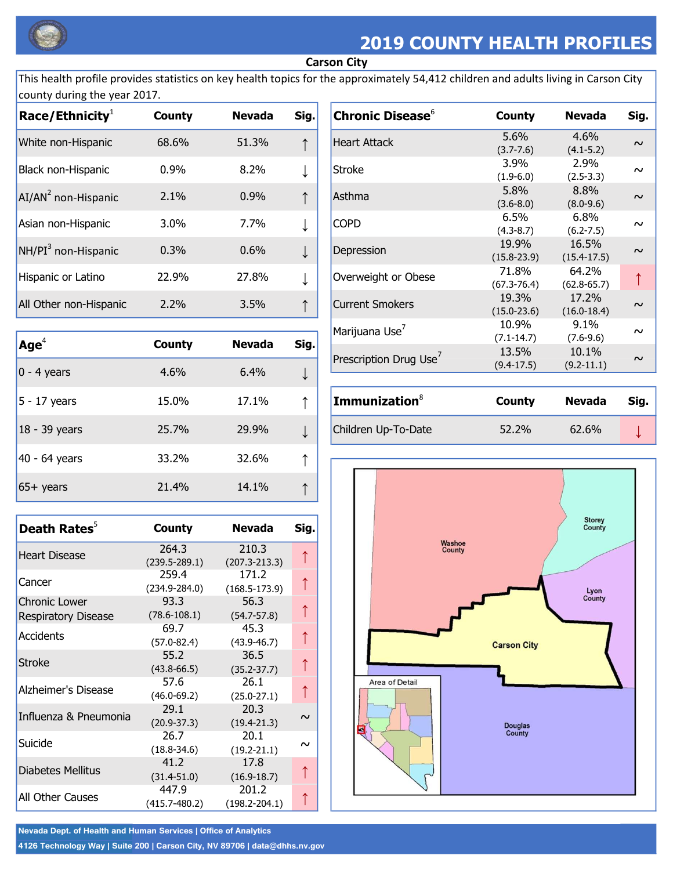

## 2019 COUNTY HEALTH PROFILES

## Carson City

This health profile provides statistics on key health topics for the approximately 54,412 children and adults living in Carson City county during the year 2017.

| Race/Ethnicity $1$              | <b>County</b> | <b>Nevada</b> | Sig. |
|---------------------------------|---------------|---------------|------|
| White non-Hispanic              | 68.6%         | 51.3%         |      |
| <b>Black non-Hispanic</b>       | 0.9%          | 8.2%          |      |
| AI/AN <sup>2</sup> non-Hispanic | 2.1%          | 0.9%          |      |
| Asian non-Hispanic              | $3.0\%$       | 7.7%          |      |
| NH/PI <sup>3</sup> non-Hispanic | 0.3%          | 0.6%          |      |
| Hispanic or Latino              | 22.9%         | 27.8%         |      |
| All Other non-Hispanic          | 2.2%          | 3.5%          |      |

| Age <sup>4</sup> | <b>County</b> | <b>Nevada</b> | $\mathsf{Sig}.$ |
|------------------|---------------|---------------|-----------------|
| $0 - 4$ years    | 4.6%          | 6.4%          |                 |
| 5 - 17 years     | 15.0%         | 17.1%         |                 |
| 18 - 39 years    | 25.7%         | 29.9%         |                 |
| 40 - 64 years    | 33.2%         | 32.6%         |                 |
| $65+$ years      | 21.4%         | 14.1%         |                 |

| Death Rates <sup>5</sup>   | County            | <b>Nevada</b>     | Sig.   |
|----------------------------|-------------------|-------------------|--------|
| <b>Heart Disease</b>       | 264.3             | 210.3             | ↑      |
|                            | $(239.5 - 289.1)$ | $(207.3 - 213.3)$ |        |
| Cancer                     | 259.4             | 171.2             |        |
|                            | $(234.9 - 284.0)$ | $(168.5 - 173.9)$ |        |
| <b>Chronic Lower</b>       | 93.3              | 56.3              |        |
| <b>Respiratory Disease</b> | $(78.6 - 108.1)$  | $(54.7 - 57.8)$   |        |
|                            | 69.7              | 45.3              |        |
| Accidents                  | $(57.0 - 82.4)$   | $(43.9 - 46.7)$   | ↑      |
|                            | 55.2              | 36.5              |        |
| Stroke                     | $(43.8 - 66.5)$   | $(35.2 - 37.7)$   | ↑      |
|                            | 57.6              | 26.1              |        |
| Alzheimer's Disease        | $(46.0 - 69.2)$   | $(25.0 - 27.1)$   | ↑      |
|                            | 29.1              | 20.3              |        |
| Influenza & Pneumonia      | $(20.9 - 37.3)$   | $(19.4 - 21.3)$   | $\sim$ |
|                            | 26.7              | 20.1              |        |
| Suicide                    | $(18.8 - 34.6)$   | $(19.2 - 21.1)$   | $\sim$ |
|                            | 41.2              | 17.8              |        |
| <b>Diabetes Mellitus</b>   | $(31.4 - 51.0)$   | $(16.9 - 18.7)$   |        |
|                            | 447.9             | 201.2             |        |
| All Other Causes           | $(415.7 - 480.2)$ | $(198.2 - 204.1)$ | ↑      |

Chronic Disease<sup>6</sup> Heart Attack **County** 5.6% (3.7-7.6) Nevada 4.6% (4.1-5.2) Sig.  $\sim$ Stroke 3.9% (1.9-6.0) 2.9%  $(2.5-3.3)$  ~ Asthma 5.8% (3.6-8.0) 8.8%  $(8.0-9.6)$  ~  $\begin{array}{ccc} \text{COPD} & & & 6.5\% \\ \text{COPD} & & & & \end{array}$ (4.3-8.7) 6.8%  $(6.2 - 7.5)$  ~ Depression 19.9% (15.8-23.9) 16.5%  $(15.4-17.5)$  ~ Overweight or Obese 71.8% (67.3-76.4) 64.2% (62.8-65.7) ↑ Current Smokers 19.3% (15.0-23.6) 17.2%  $(16.0-18.4)$  ~ Marijuana Use<sup>7</sup>  $\sqrt{31147}$ (7.1-14.7) 9.1%  $(7.6-9.6)$  ~ **Prescription Drug Use<sup>7</sup>** 13.5% (9.4-17.5) 10.1%  $(9.2-11.1)$  ~

| Immunization <sup>8</sup> | County | Nevada | Sia. |
|---------------------------|--------|--------|------|
| Children Up-To-Date       | 52.2%  | 62.6%  |      |



Nevada Dept. of Health and Human Services | Office of Analytics

4126 Technology Way | Suite 200 | Carson City, NV 89706 | data@dhhs.nv.gov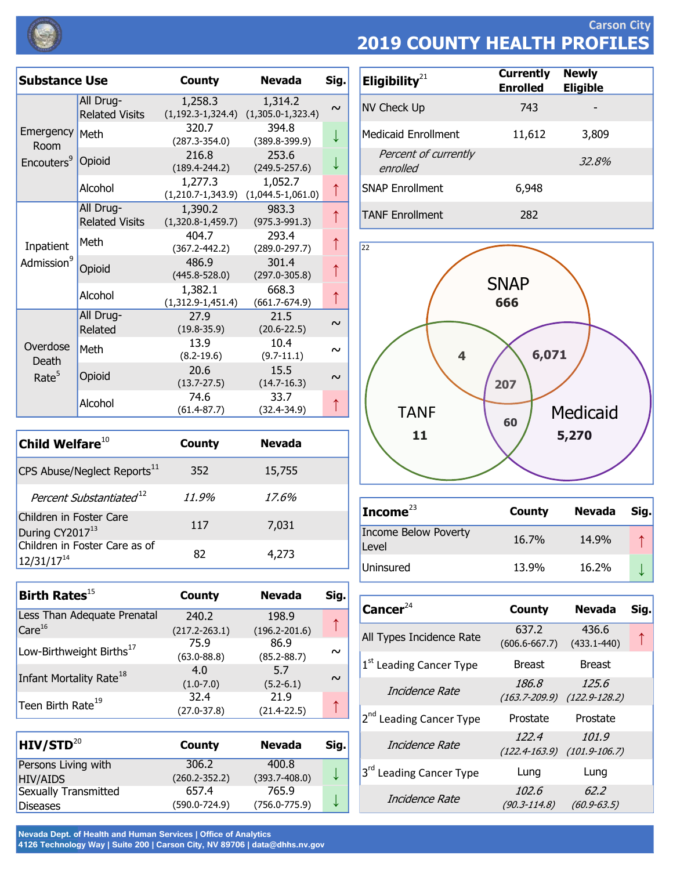

Carson City 2019 COUNTY HEALTH PROFILES

| <b>Substance Use</b>                   |                                    | <b>County</b>                      | <b>Nevada</b>                  | Sig.   |
|----------------------------------------|------------------------------------|------------------------------------|--------------------------------|--------|
|                                        | All Drug-<br><b>Related Visits</b> | 1,258.3<br>$(1, 192.3 - 1, 324.4)$ | 1,314.2<br>$(1,305.0-1,323.4)$ | $\sim$ |
| Emergency  <br>Room                    | Meth                               | 320.7<br>$(287.3 - 354.0)$         | 394.8<br>$(389.8 - 399.9)$     |        |
| Encouters <sup>9</sup>                 | Opioid                             | 216.8<br>$(189.4 - 244.2)$         | 253.6<br>$(249.5 - 257.6)$     |        |
|                                        | Alcohol                            | 1,277.3<br>$(1, 210.7 - 1, 343.9)$ | 1,052.7<br>$(1,044.5-1,061.0)$ | ↑      |
|                                        | All Drug-<br><b>Related Visits</b> | 1,390.2<br>$(1,320.8-1,459.7)$     | 983.3<br>$(975.3 - 991.3)$     | ↑      |
| Inpatient                              | Meth                               | 404.7<br>$(367.2 - 442.2)$         | 293.4<br>$(289.0 - 297.7)$     | ↑      |
| Admission <sup>9</sup>                 | Opioid                             | 486.9<br>$(445.8 - 528.0)$         | 301.4<br>$(297.0 - 305.8)$     | ↑      |
|                                        | Alcohol                            | 1,382.1<br>$(1,312.9-1,451.4)$     | 668.3<br>$(661.7 - 674.9)$     | ↑      |
| Overdose<br>Death<br>Rate <sup>5</sup> | All Drug-<br>Related               | 27.9<br>$(19.8 - 35.9)$            | 21.5<br>$(20.6 - 22.5)$        | $\sim$ |
|                                        | Meth                               | 13.9<br>$(8.2 - 19.6)$             | 10.4<br>$(9.7 - 11.1)$         | $\sim$ |
|                                        | Opioid                             | 20.6<br>$(13.7 - 27.5)$            | 15.5<br>$(14.7 - 16.3)$        | $\sim$ |
|                                        | Alcohol                            | 74.6<br>$(61.4 - 87.7)$            | 33.7<br>$(32.4 - 34.9)$        | ↑      |

| Child Welfare $^{10}$                            | <b>County</b> | <b>Nevada</b> |
|--------------------------------------------------|---------------|---------------|
| CPS Abuse/Neglect Reports <sup>11</sup>          | 352           | 15,755        |
| Percent Substantiated <sup>12</sup>              | 11.9%         | 17.6%         |
| Children in Foster Care<br>During CY201713       | 117           | 7,031         |
| Children in Foster Care as of<br>$12/31/17^{14}$ | 82            | 4,273         |

| <b>County</b>     | <b>Nevada</b>     | Sig.   |
|-------------------|-------------------|--------|
| 240.2             | 198.9             |        |
| $(217.2 - 263.1)$ | $(196.2 - 201.6)$ |        |
| 75.9              | 86.9              |        |
| $(63.0 - 88.8)$   | $(85.2 - 88.7)$   | $\sim$ |
| 4.0               | 5.7               |        |
| $(1.0 - 7.0)$     | $(5.2 - 6.1)$     | $\sim$ |
| 32.4              | 21.9              |        |
| $(27.0-37.8)$     | $(21.4 - 22.5)$   |        |
|                   |                   |        |

| HIV/STD <sup>20</sup> | County            | <b>Nevada</b>     | $\left  \mathsf{Sig.} \right $ |
|-----------------------|-------------------|-------------------|--------------------------------|
| Persons Living with   | 306.2             | 400.8             |                                |
| HIV/AIDS              | $(260.2 - 352.2)$ | $(393.7 - 408.0)$ |                                |
| Sexually Transmitted  | 657.4             | 765.9             |                                |
| <b>Diseases</b>       | $(590.0 - 724.9)$ | $(756.0 - 775.9)$ |                                |

Nevada Dept. of Health and Human Services | Office of Analytics 4126 Technology Way | Suite 200 | Carson City, NV 89706 | data@dhhs.nv.gov

| Eligibility $21$                 | <b>Currently</b><br><b>Enrolled</b> | <b>Newly</b><br><b>Eligible</b> |
|----------------------------------|-------------------------------------|---------------------------------|
| NV Check Up                      | 743                                 |                                 |
| <b>Medicaid Enrollment</b>       | 11,612                              | 3,809                           |
| Percent of currently<br>enrolled |                                     | 32.8%                           |
| <b>SNAP Enrollment</b>           | 6,948                               |                                 |
| <b>TANF Enrollment</b>           | 282                                 |                                 |



| Income $^{23}$                       | County | <b>Nevada</b> | Sig. |
|--------------------------------------|--------|---------------|------|
| <b>Income Below Poverty</b><br>Level | 16.7%  | 14.9%         |      |
| Uninsured                            | 13.9%  | 16.2%         |      |

| Cancer $^{24}$                      | County                                       | <b>Nevada</b>              | Sig. |
|-------------------------------------|----------------------------------------------|----------------------------|------|
| All Types Incidence Rate            | 637.2<br>$(606.6 - 667.7)$                   | 436.6<br>$(433.1 - 440)$   |      |
| 1 <sup>st</sup> Leading Cancer Type | <b>Breast</b>                                | <b>Breast</b>              |      |
| Incidence Rate                      | 186.8<br>$(163.7 - 209.9)$ $(122.9 - 128.2)$ | 125.6                      |      |
| 2 <sup>nd</sup> Leading Cancer Type | Prostate                                     | Prostate                   |      |
| Incidence Rate                      | 122.4<br>$(122.4 - 163.9)$                   | 101.9<br>$(101.9 - 106.7)$ |      |
| 3 <sup>rd</sup> Leading Cancer Type | Lung                                         | Lung                       |      |
| Incidence Rate                      | 102.6<br>$(90.3 - 114.8)$                    | 62.2<br>$(60.9 - 63.5)$    |      |